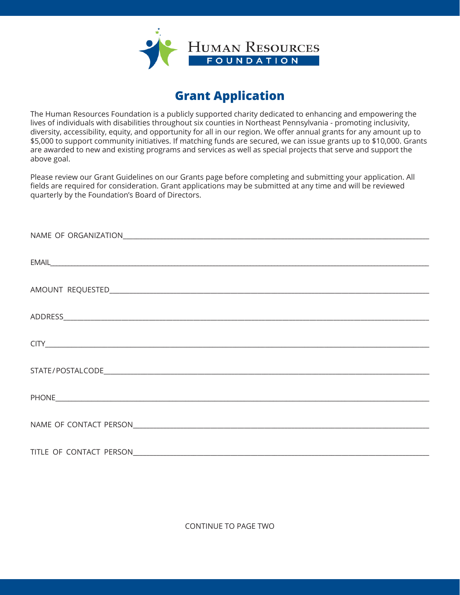

## **Grant Application**

The Human Resources Foundation is a publicly supported charity dedicated to enhancing and empowering the lives of individuals with disabilities throughout six counties in Northeast Pennsylvania - promoting inclusivity, diversity, accessibility, equity, and opportunity for all in our region. We offer annual grants for any amount up to \$5,000 to support community initiatives. If matching funds are secured, we can issue grants up to \$10,000. Grants are awarded to new and existing programs and services as well as special projects that serve and support the above goal.

Please review our Grant Guidelines on our Grants page before completing and submitting your application. All fields are required for consideration. Grant applications may be submitted at any time and will be reviewed quarterly by the Foundation's Board of Directors.

CONTINUE TO PAGE TWO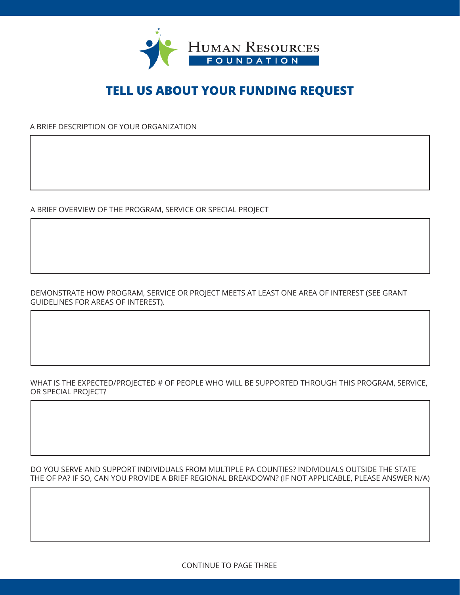

## **TELL US ABOUT YOUR FUNDING REQUEST**

A BRIEF DESCRIPTION OF YOUR ORGANIZATION

A BRIEF OVERVIEW OF THE PROGRAM, SERVICE OR SPECIAL PROJECT

DEMONSTRATE HOW PROGRAM, SERVICE OR PROJECT MEETS AT LEAST ONE AREA OF INTEREST (SEE GRANT GUIDELINES FOR AREAS OF INTEREST).

WHAT IS THE EXPECTED/PROJECTED # OF PEOPLE WHO WILL BE SUPPORTED THROUGH THIS PROGRAM, SERVICE, OR SPECIAL PROJECT?

DO YOU SERVE AND SUPPORT INDIVIDUALS FROM MULTIPLE PA COUNTIES? INDIVIDUALS OUTSIDE THE STATE THE OF PA? IF SO, CAN YOU PROVIDE A BRIEF REGIONAL BREAKDOWN? (IF NOT APPLICABLE, PLEASE ANSWER N/A)

CONTINUE TO PAGE THREE